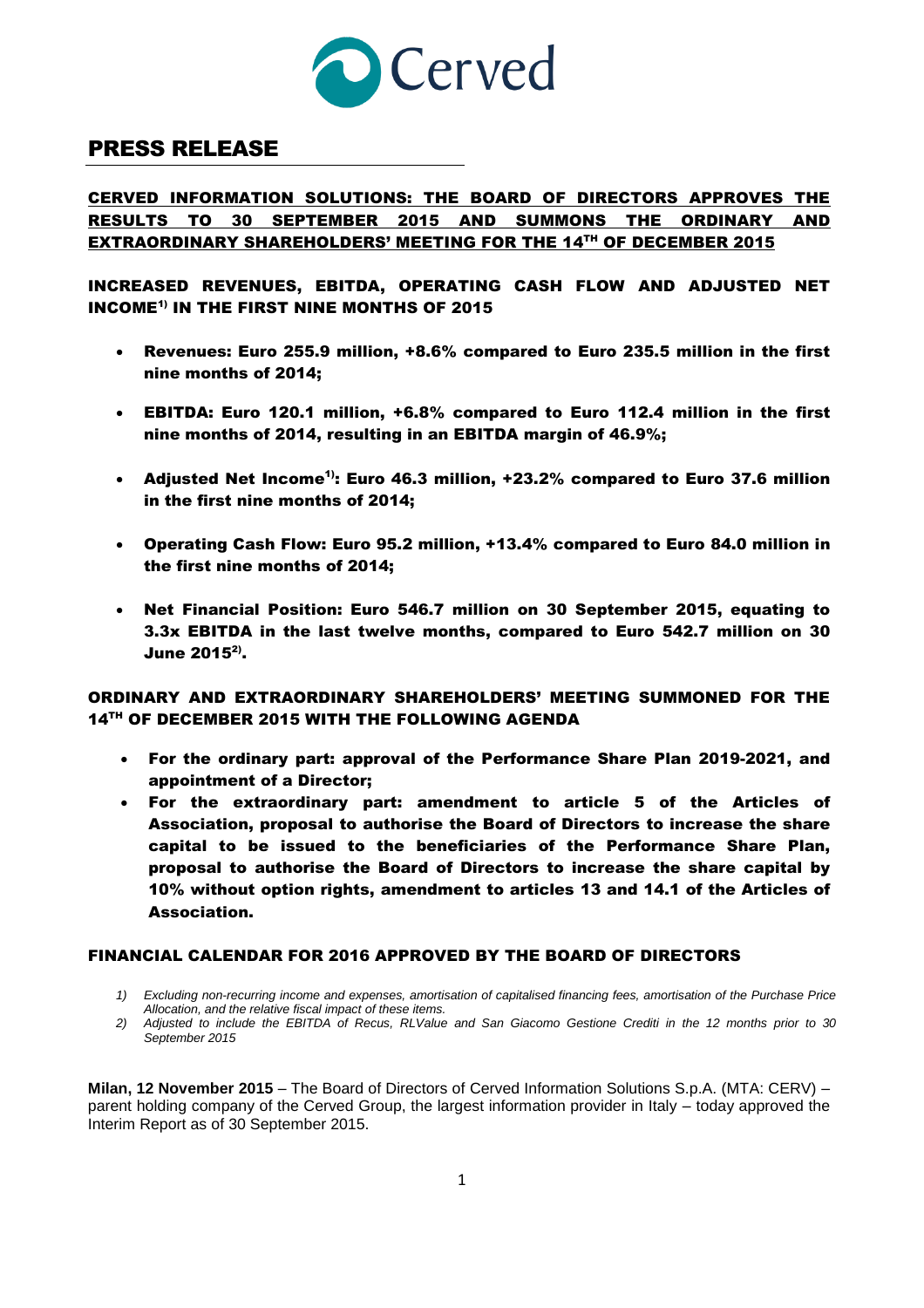

# PRESS RELEASE

## CERVED INFORMATION SOLUTIONS: THE BOARD OF DIRECTORS APPROVES THE RESULTS TO 30 SEPTEMBER 2015 AND SUMMONS THE ORDINARY AND <u>EXTRAORDINARY SHAREHOLDERS' MEETING FOR THE 14TH OF DECEMBER 2015</u>

INCREASED REVENUES, EBITDA, OPERATING CASH FLOW AND ADJUSTED NET INCOME1) IN THE FIRST NINE MONTHS OF 2015

- Revenues: Euro 255.9 million, +8.6% compared to Euro 235.5 million in the first nine months of 2014;
- EBITDA: Euro 120.1 million, +6.8% compared to Euro 112.4 million in the first nine months of 2014, resulting in an EBITDA margin of 46.9%;
- Adjusted Net Income<sup>1)</sup>: Euro 46.3 million, +23.2% compared to Euro 37.6 million in the first nine months of 2014;
- Operating Cash Flow: Euro 95.2 million, +13.4% compared to Euro 84.0 million in the first nine months of 2014;
- Net Financial Position: Euro 546.7 million on 30 September 2015, equating to 3.3x EBITDA in the last twelve months, compared to Euro 542.7 million on 30 June 2015 $^{2)}$ .

## ORDINARY AND EXTRAORDINARY SHAREHOLDERS' MEETING SUMMONED FOR THE 14TH OF DECEMBER 2015 WITH THE FOLLOWING AGENDA

- For the ordinary part: approval of the Performance Share Plan 2019-2021, and appointment of a Director;
- For the extraordinary part: amendment to article 5 of the Articles of Association, proposal to authorise the Board of Directors to increase the share capital to be issued to the beneficiaries of the Performance Share Plan, proposal to authorise the Board of Directors to increase the share capital by 10% without option rights, amendment to articles 13 and 14.1 of the Articles of Association.

## FINANCIAL CALENDAR FOR 2016 APPROVED BY THE BOARD OF DIRECTORS

- 1) Excluding non-recurring income and expenses, amortisation of capitalised financing fees, amortisation of the Purchase Price *Allocation, and the relative fiscal impact of these items.*
- 2) Adjusted to include the EBITDA of Recus, RLValue and San Giacomo Gestione Crediti in the 12 months prior to 30 *September 2015*

**Milan, 12 November 2015** – The Board of Directors of Cerved Information Solutions S.p.A. (MTA: CERV) – parent holding company of the Cerved Group, the largest information provider in Italy – today approved the Interim Report as of 30 September 2015.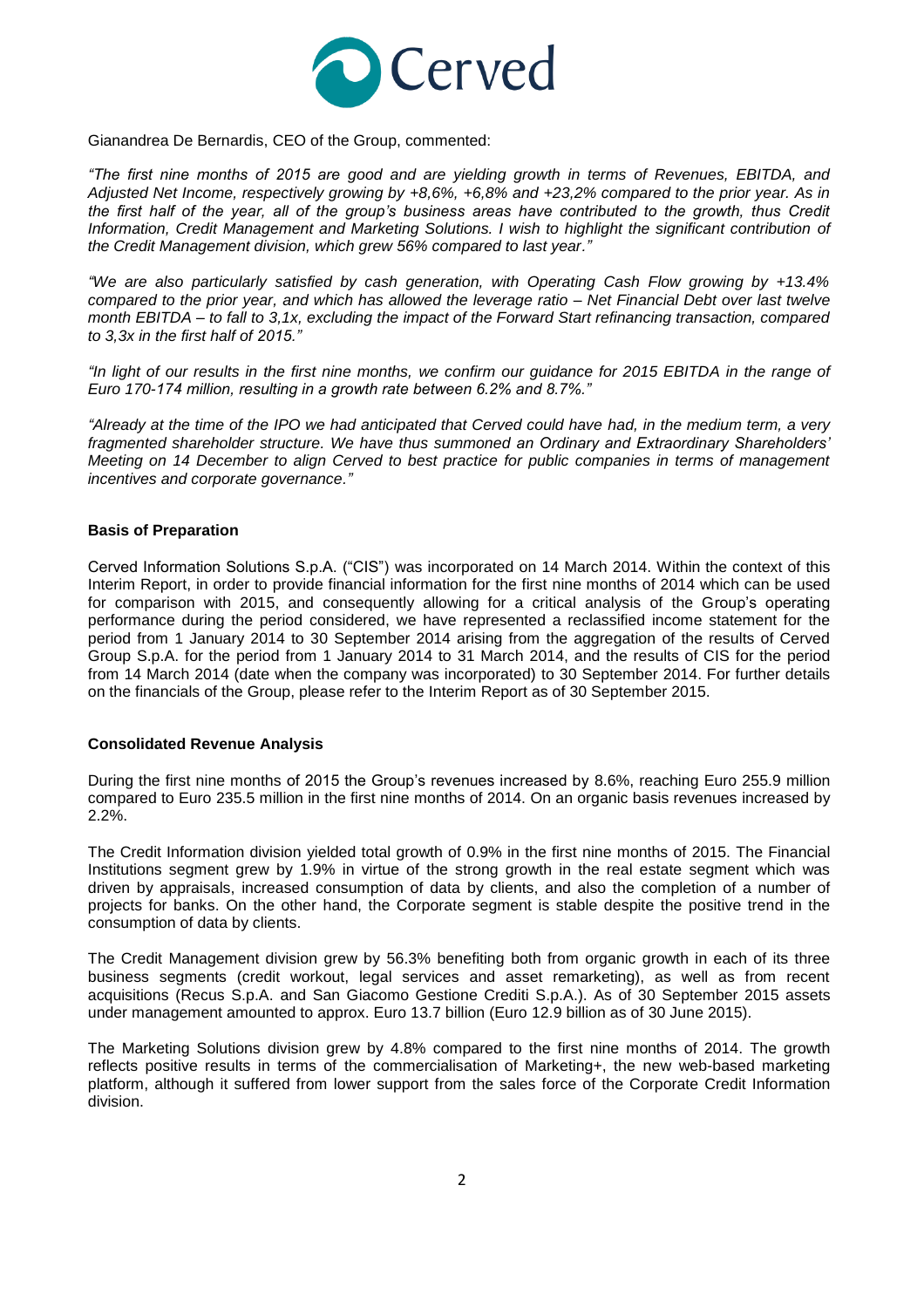

Gianandrea De Bernardis, CEO of the Group, commented:

*"The first nine months of 2015 are good and are yielding growth in terms of Revenues, EBITDA, and Adjusted Net Income, respectively growing by +8,6%, +6,8% and +23,2% compared to the prior year. As in the first half of the year, all of the group's business areas have contributed to the growth, thus Credit Information, Credit Management and Marketing Solutions. I wish to highlight the significant contribution of the Credit Management division, which grew 56% compared to last year."*

*"We are also particularly satisfied by cash generation, with Operating Cash Flow growing by +13.4% compared to the prior year, and which has allowed the leverage ratio – Net Financial Debt over last twelve month EBITDA – to fall to 3,1x, excluding the impact of the Forward Start refinancing transaction, compared to 3,3x in the first half of 2015."*

*"In light of our results in the first nine months, we confirm our guidance for 2015 EBITDA in the range of Euro 170-174 million, resulting in a growth rate between 6.2% and 8.7%."* 

*"Already at the time of the IPO we had anticipated that Cerved could have had, in the medium term, a very fragmented shareholder structure. We have thus summoned an Ordinary and Extraordinary Shareholders' Meeting on 14 December to align Cerved to best practice for public companies in terms of management incentives and corporate governance."*

#### **Basis of Preparation**

Cerved Information Solutions S.p.A. ("CIS") was incorporated on 14 March 2014. Within the context of this Interim Report, in order to provide financial information for the first nine months of 2014 which can be used for comparison with 2015, and consequently allowing for a critical analysis of the Group's operating performance during the period considered, we have represented a reclassified income statement for the period from 1 January 2014 to 30 September 2014 arising from the aggregation of the results of Cerved Group S.p.A. for the period from 1 January 2014 to 31 March 2014, and the results of CIS for the period from 14 March 2014 (date when the company was incorporated) to 30 September 2014. For further details on the financials of the Group, please refer to the Interim Report as of 30 September 2015.

#### **Consolidated Revenue Analysis**

During the first nine months of 2015 the Group's revenues increased by 8.6%, reaching Euro 255.9 million compared to Euro 235.5 million in the first nine months of 2014. On an organic basis revenues increased by 2.2%.

The Credit Information division yielded total growth of 0.9% in the first nine months of 2015. The Financial Institutions segment grew by 1.9% in virtue of the strong growth in the real estate segment which was driven by appraisals, increased consumption of data by clients, and also the completion of a number of projects for banks. On the other hand, the Corporate segment is stable despite the positive trend in the consumption of data by clients.

The Credit Management division grew by 56.3% benefiting both from organic growth in each of its three business segments (credit workout, legal services and asset remarketing), as well as from recent acquisitions (Recus S.p.A. and San Giacomo Gestione Crediti S.p.A.). As of 30 September 2015 assets under management amounted to approx. Euro 13.7 billion (Euro 12.9 billion as of 30 June 2015).

The Marketing Solutions division grew by 4.8% compared to the first nine months of 2014. The growth reflects positive results in terms of the commercialisation of Marketing+, the new web-based marketing platform, although it suffered from lower support from the sales force of the Corporate Credit Information division.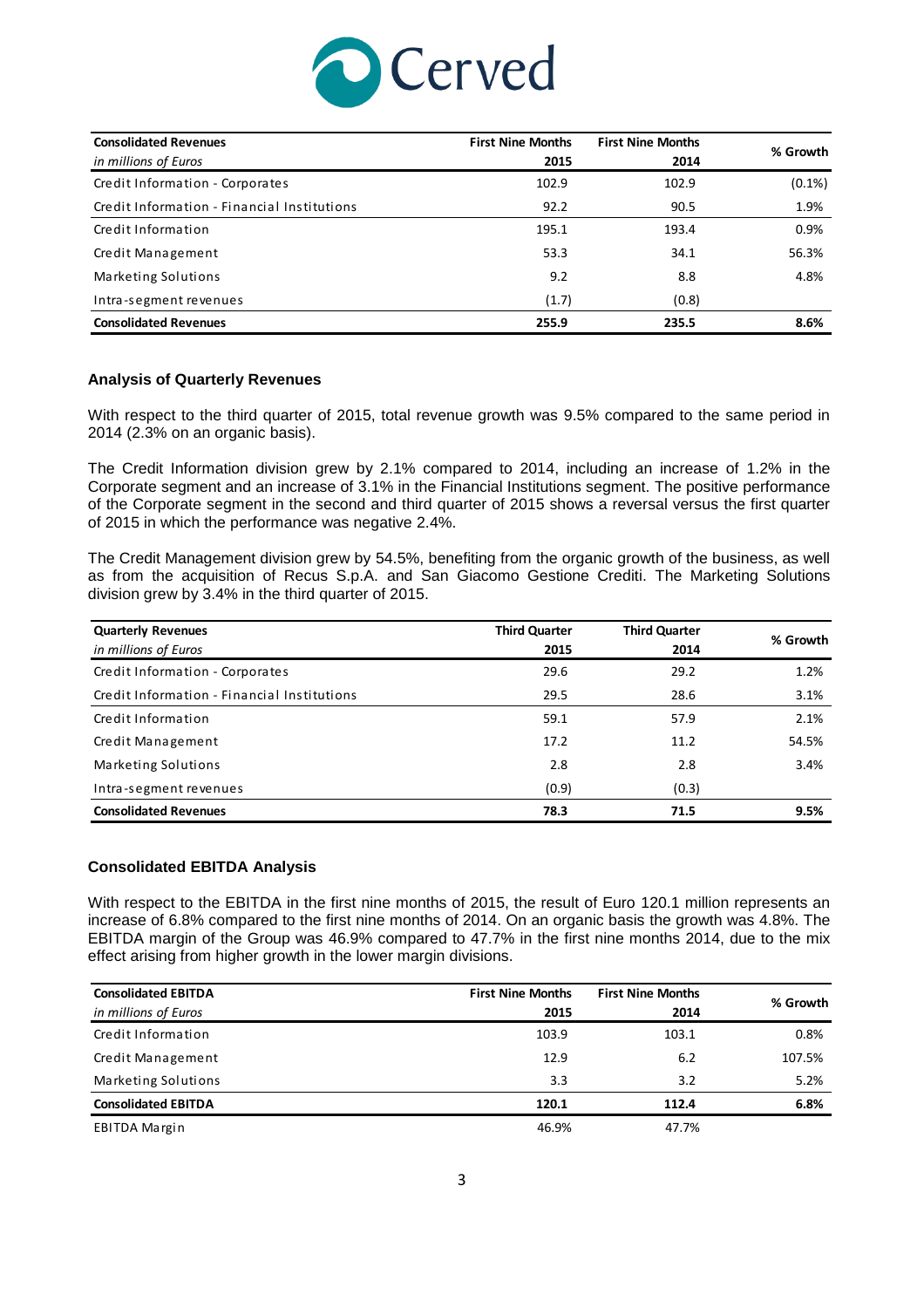

| <b>Consolidated Revenues</b><br>in millions of Euros | <b>First Nine Months</b><br>2015 | <b>First Nine Months</b><br>2014 | % Growth  |
|------------------------------------------------------|----------------------------------|----------------------------------|-----------|
| Credit Information - Corporates                      | 102.9                            | 102.9                            | $(0.1\%)$ |
| Credit Information - Financial Institutions          | 92.2                             | 90.5                             | 1.9%      |
| Credit Information                                   | 195.1                            | 193.4                            | 0.9%      |
| Credit Management                                    | 53.3                             | 34.1                             | 56.3%     |
| Marketing Solutions                                  | 9.2                              | 8.8                              | 4.8%      |
| Intra-segment revenues                               | (1.7)                            | (0.8)                            |           |
| <b>Consolidated Revenues</b>                         | 255.9                            | 235.5                            | 8.6%      |

### **Analysis of Quarterly Revenues**

With respect to the third quarter of 2015, total revenue growth was 9.5% compared to the same period in 2014 (2.3% on an organic basis).

The Credit Information division grew by 2.1% compared to 2014, including an increase of 1.2% in the Corporate segment and an increase of 3.1% in the Financial Institutions segment. The positive performance of the Corporate segment in the second and third quarter of 2015 shows a reversal versus the first quarter of 2015 in which the performance was negative 2.4%.

The Credit Management division grew by 54.5%, benefiting from the organic growth of the business, as well as from the acquisition of Recus S.p.A. and San Giacomo Gestione Crediti. The Marketing Solutions division grew by 3.4% in the third quarter of 2015.

| <b>Quarterly Revenues</b>                   | <b>Third Quarter</b> | <b>Third Quarter</b> | % Growth |
|---------------------------------------------|----------------------|----------------------|----------|
| in millions of Euros                        | 2015                 | 2014                 |          |
| Credit Information - Corporates             | 29.6                 | 29.2                 | 1.2%     |
| Credit Information - Financial Institutions | 29.5                 | 28.6                 | 3.1%     |
| Credit Information                          | 59.1                 | 57.9                 | 2.1%     |
| Credit Management                           | 17.2                 | 11.2                 | 54.5%    |
| Marketing Solutions                         | 2.8                  | 2.8                  | 3.4%     |
| Intra-segment revenues                      | (0.9)                | (0.3)                |          |
| <b>Consolidated Revenues</b>                | 78.3                 | 71.5                 | 9.5%     |

#### **Consolidated EBITDA Analysis**

With respect to the EBITDA in the first nine months of 2015, the result of Euro 120.1 million represents an increase of 6.8% compared to the first nine months of 2014. On an organic basis the growth was 4.8%. The EBITDA margin of the Group was 46.9% compared to 47.7% in the first nine months 2014, due to the mix effect arising from higher growth in the lower margin divisions.

| <b>Consolidated EBITDA</b> | <b>First Nine Months</b> | <b>First Nine Months</b> | % Growth |
|----------------------------|--------------------------|--------------------------|----------|
| in millions of Euros       | 2015                     | 2014                     |          |
| Credit Information         | 103.9                    | 103.1                    | 0.8%     |
| Credit Management          | 12.9                     | 6.2                      | 107.5%   |
| Marketing Solutions        | 3.3                      | 3.2                      | 5.2%     |
| <b>Consolidated EBITDA</b> | 120.1                    | 112.4                    | 6.8%     |
| EBITDA Margin              | 46.9%                    | 47.7%                    |          |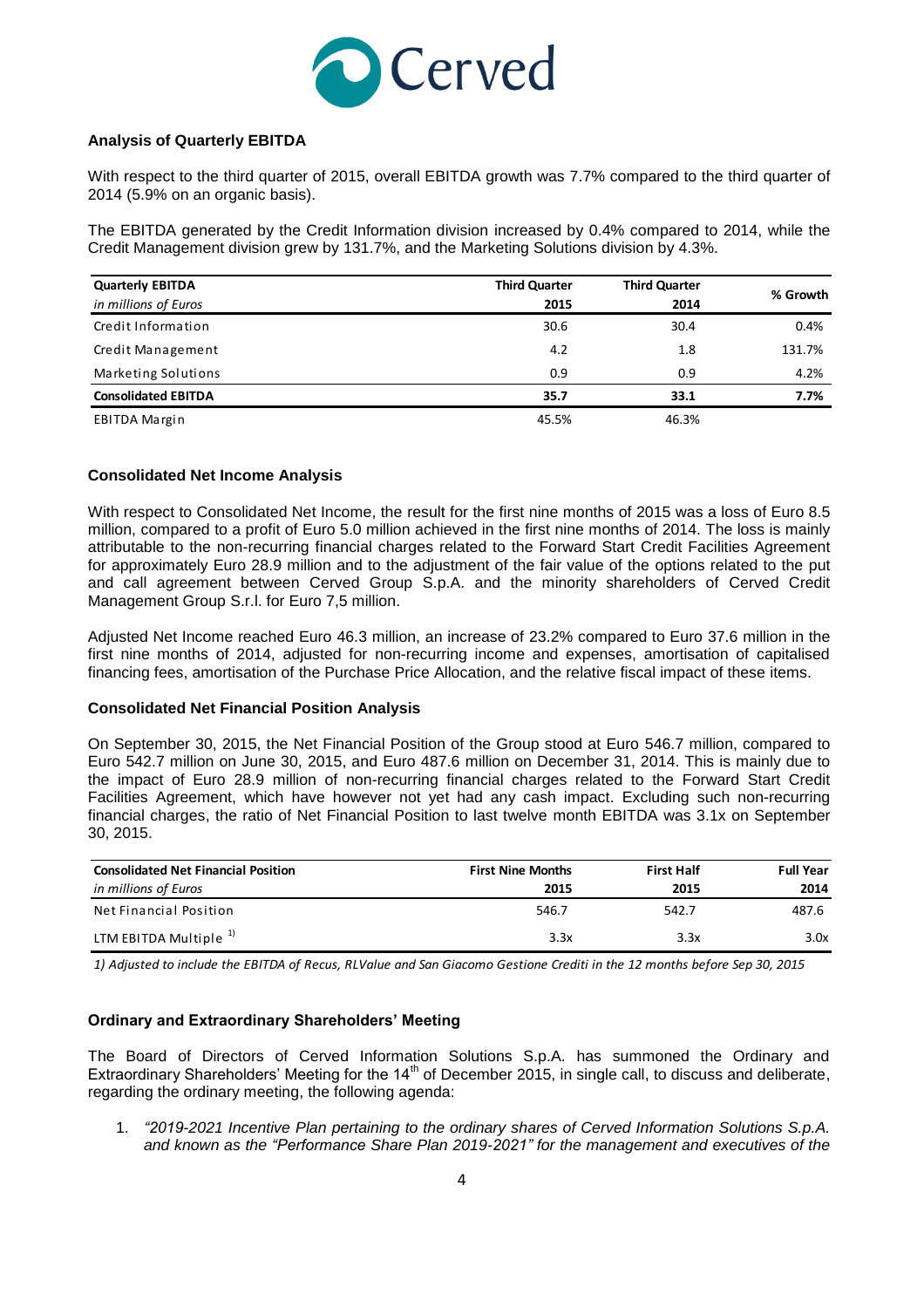

## **Analysis of Quarterly EBITDA**

With respect to the third quarter of 2015, overall EBITDA growth was 7.7% compared to the third quarter of 2014 (5.9% on an organic basis).

The EBITDA generated by the Credit Information division increased by 0.4% compared to 2014, while the Credit Management division grew by 131.7%, and the Marketing Solutions division by 4.3%.

| <b>Quarterly EBITDA</b>    | <b>Third Quarter</b> | <b>Third Quarter</b> |          |
|----------------------------|----------------------|----------------------|----------|
| in millions of Euros       | 2015                 | 2014                 | % Growth |
| Credit Information         | 30.6                 | 30.4                 | 0.4%     |
| Credit Management          | 4.2                  | 1.8                  | 131.7%   |
| Marketing Solutions        | 0.9                  | 0.9                  | 4.2%     |
| <b>Consolidated EBITDA</b> | 35.7                 | 33.1                 | 7.7%     |
| EBITDA Margin              | 45.5%                | 46.3%                |          |

### **Consolidated Net Income Analysis**

With respect to Consolidated Net Income, the result for the first nine months of 2015 was a loss of Euro 8.5 million, compared to a profit of Euro 5.0 million achieved in the first nine months of 2014. The loss is mainly attributable to the non-recurring financial charges related to the Forward Start Credit Facilities Agreement for approximately Euro 28.9 million and to the adjustment of the fair value of the options related to the put and call agreement between Cerved Group S.p.A. and the minority shareholders of Cerved Credit Management Group S.r.l. for Euro 7,5 million.

Adjusted Net Income reached Euro 46.3 million, an increase of 23.2% compared to Euro 37.6 million in the first nine months of 2014, adjusted for non-recurring income and expenses, amortisation of capitalised financing fees, amortisation of the Purchase Price Allocation, and the relative fiscal impact of these items.

### **Consolidated Net Financial Position Analysis**

On September 30, 2015, the Net Financial Position of the Group stood at Euro 546.7 million, compared to Euro 542.7 million on June 30, 2015, and Euro 487.6 million on December 31, 2014. This is mainly due to the impact of Euro 28.9 million of non-recurring financial charges related to the Forward Start Credit Facilities Agreement, which have however not yet had any cash impact. Excluding such non-recurring financial charges, the ratio of Net Financial Position to last twelve month EBITDA was 3.1x on September 30, 2015.

| <b>Consolidated Net Financial Position</b> | <b>First Nine Months</b> | <b>First Half</b> | <b>Full Year</b> |
|--------------------------------------------|--------------------------|-------------------|------------------|
| in millions of Euros                       | 2015                     | 2015              | 2014             |
| Net Financial Position                     | 546.7                    | 542.7             | 487.6            |
| LTM EBITDA Multiple $1$                    | 3.3x                     | 3.3x              | 3.0x             |

*1) Adjusted to include the EBITDA of Recus, RLValue and San Giacomo Gestione Crediti in the 12 months before Sep 30, 2015*

### **Ordinary and Extraordinary Shareholders' Meeting**

The Board of Directors of Cerved Information Solutions S.p.A. has summoned the Ordinary and Extraordinary Shareholders' Meeting for the 14<sup>th</sup> of December 2015, in single call, to discuss and deliberate, regarding the ordinary meeting, the following agenda:

1. *"2019-2021 Incentive Plan pertaining to the ordinary shares of Cerved Information Solutions S.p.A. and known as the "Performance Share Plan 2019-2021" for the management and executives of the*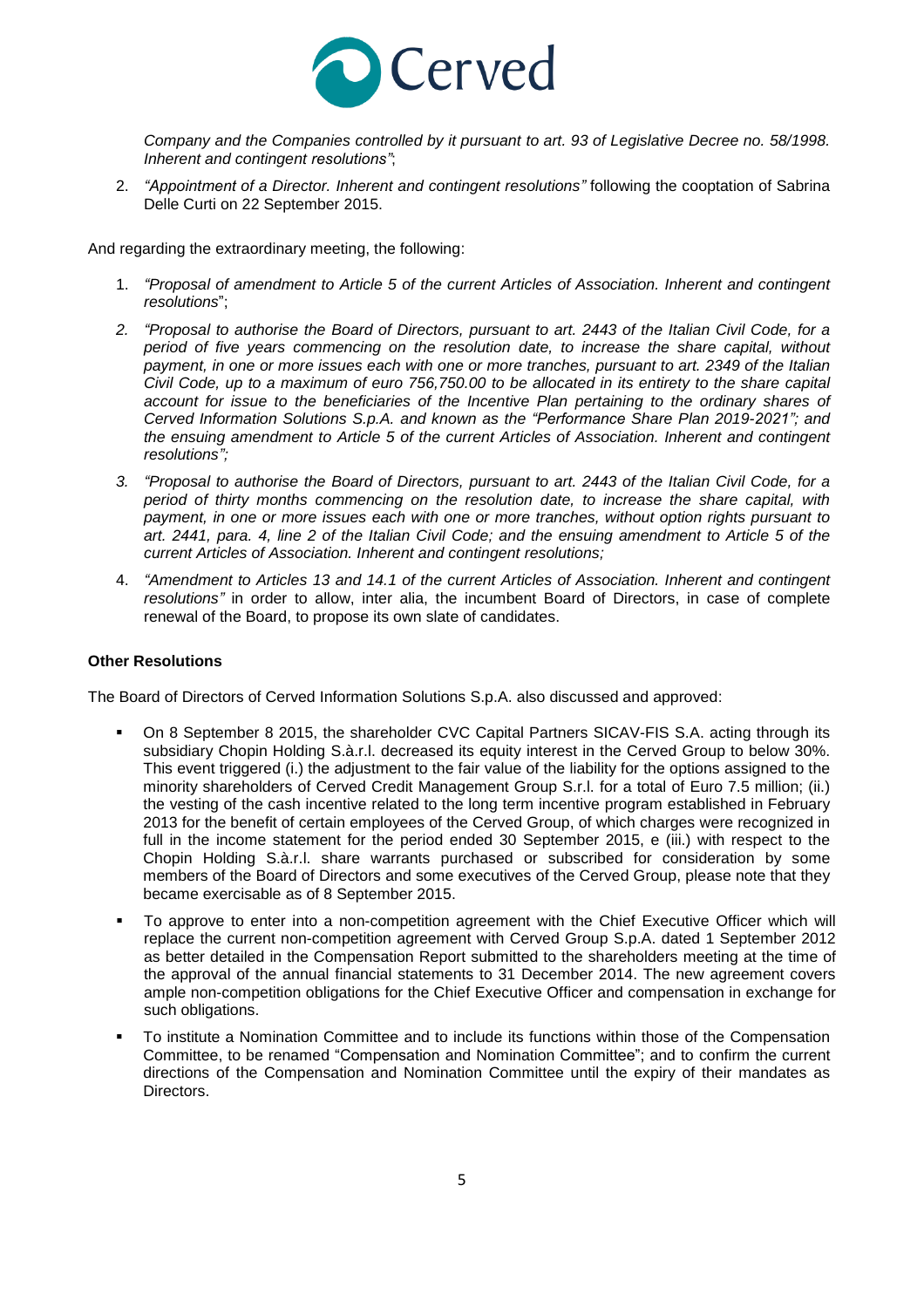

*Company and the Companies controlled by it pursuant to art. 93 of Legislative Decree no. 58/1998. Inherent and contingent resolutions"*;

2. *"Appointment of a Director. Inherent and contingent resolutions"* following the cooptation of Sabrina Delle Curti on 22 September 2015.

And regarding the extraordinary meeting, the following:

- 1. *"Proposal of amendment to Article 5 of the current Articles of Association. Inherent and contingent resolutions*";
- 2. "Proposal to authorise the Board of Directors, pursuant to art. 2443 of the Italian Civil Code, for a *period of five years commencing on the resolution date, to increase the share capital, without* payment, in one or more issues each with one or more tranches, pursuant to art. 2349 of the Italian Civil Code, up to a maximum of euro 756,750.00 to be allocated in its entirety to the share capital *account for issue to the beneficiaries of the Incentive Plan pertaining to the ordinary shares of Cerved Information Solutions S.p.A. and known as the "Performance Share Plan 2019-2021"; and the ensuing amendment to Article 5 of the current Articles of Association. Inherent and contingent resolutions";*
- 3. "Proposal to authorise the Board of Directors, pursuant to art. 2443 of the Italian Civil Code, for a *period of thirty months commencing on the resolution date, to increase the share capital, with payment, in one or more issues each with one or more tranches, without option rights pursuant to* art. 2441, para. 4, line 2 of the Italian Civil Code; and the ensuing amendment to Article 5 of the *current Articles of Association. Inherent and contingent resolutions;*
- 4. *"Amendment to Articles 13 and 14.1 of the current Articles of Association. Inherent and contingent resolutions"* in order to allow, inter alia, the incumbent Board of Directors, in case of complete renewal of the Board, to propose its own slate of candidates.

## **Other Resolutions**

The Board of Directors of Cerved Information Solutions S.p.A. also discussed and approved:

- On 8 September 8 2015, the shareholder CVC Capital Partners SICAV-FIS S.A. acting through its subsidiary Chopin Holding S.à.r.l. decreased its equity interest in the Cerved Group to below 30%. This event triggered (i.) the adjustment to the fair value of the liability for the options assigned to the minority shareholders of Cerved Credit Management Group S.r.l. for a total of Euro 7.5 million; (ii.) the vesting of the cash incentive related to the long term incentive program established in February 2013 for the benefit of certain employees of the Cerved Group, of which charges were recognized in full in the income statement for the period ended 30 September 2015, e (iii.) with respect to the Chopin Holding S.à.r.l. share warrants purchased or subscribed for consideration by some members of the Board of Directors and some executives of the Cerved Group, please note that they became exercisable as of 8 September 2015.
- To approve to enter into a non-competition agreement with the Chief Executive Officer which will replace the current non-competition agreement with Cerved Group S.p.A. dated 1 September 2012 as better detailed in the Compensation Report submitted to the shareholders meeting at the time of the approval of the annual financial statements to 31 December 2014. The new agreement covers ample non-competition obligations for the Chief Executive Officer and compensation in exchange for such obligations.
- To institute a Nomination Committee and to include its functions within those of the Compensation Committee, to be renamed "Compensation and Nomination Committee"; and to confirm the current directions of the Compensation and Nomination Committee until the expiry of their mandates as Directors.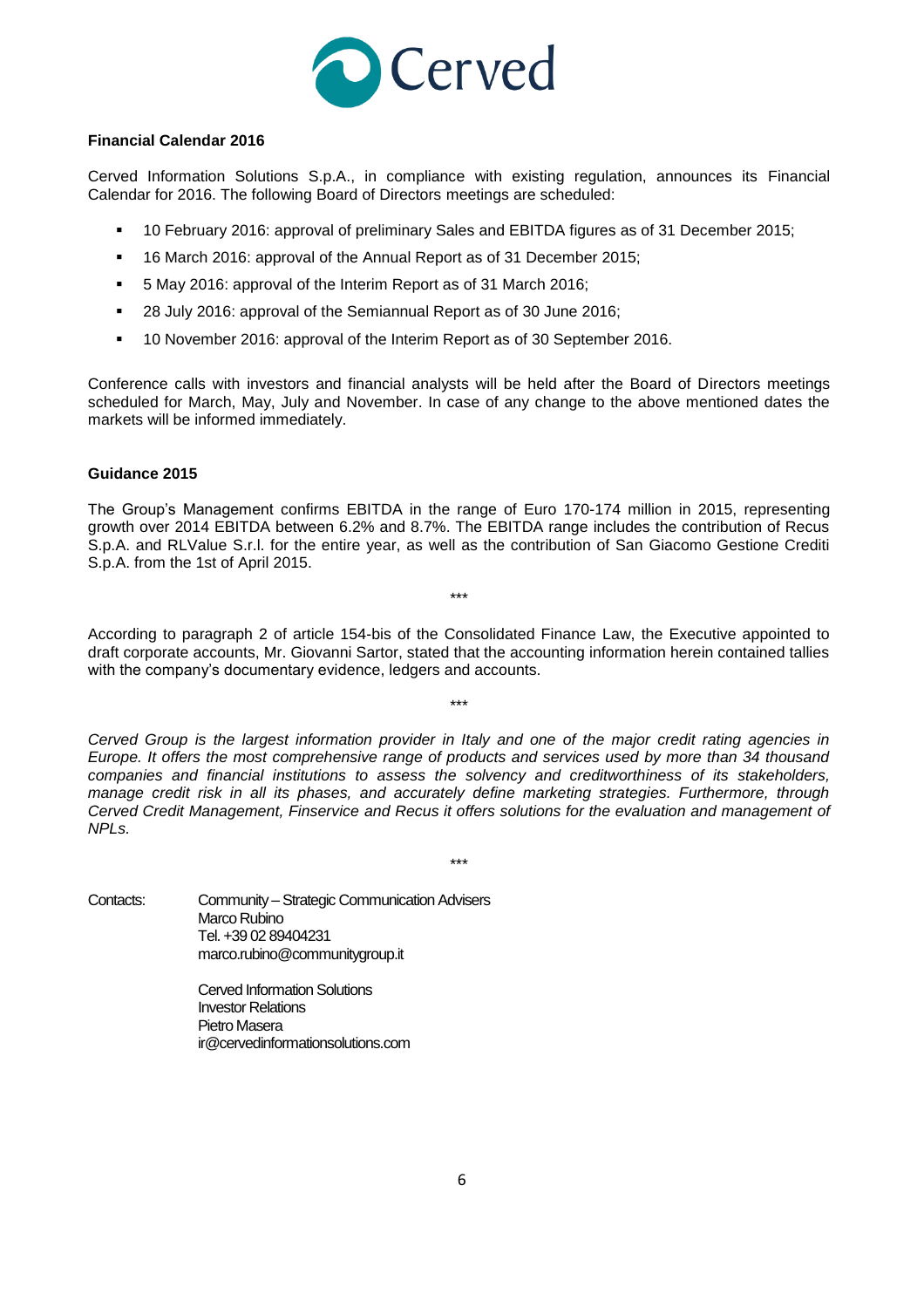

### **Financial Calendar 2016**

Cerved Information Solutions S.p.A., in compliance with existing regulation, announces its Financial Calendar for 2016. The following Board of Directors meetings are scheduled:

- 10 February 2016: approval of preliminary Sales and EBITDA figures as of 31 December 2015;
- <sup>16</sup> March 2016: approval of the Annual Report as of 31 December 2015;
- 5 May 2016: approval of the Interim Report as of 31 March 2016;
- <sup>28</sup> July 2016: approval of the Semiannual Report as of 30 June 2016;
- 10 November 2016: approval of the Interim Report as of 30 September 2016.

Conference calls with investors and financial analysts will be held after the Board of Directors meetings scheduled for March, May, July and November. In case of any change to the above mentioned dates the markets will be informed immediately.

### **Guidance 2015**

The Group's Management confirms EBITDA in the range of Euro 170-174 million in 2015, representing growth over 2014 EBITDA between 6.2% and 8.7%. The EBITDA range includes the contribution of Recus S.p.A. and RLValue S.r.l. for the entire year, as well as the contribution of San Giacomo Gestione Crediti S.p.A. from the 1st of April 2015.

\*\*\*

According to paragraph 2 of article 154-bis of the Consolidated Finance Law, the Executive appointed to draft corporate accounts, Mr. Giovanni Sartor, stated that the accounting information herein contained tallies with the company's documentary evidence, ledgers and accounts.

\*\*\*

*Cerved Group is the largest information provider in Italy and one of the major credit rating agencies in Europe. It offers the most comprehensive range of products and services used by more than 34 thousand companies and financial institutions to assess the solvency and creditworthiness of its stakeholders, manage credit risk in all its phases, and accurately define marketing strategies. Furthermore, through Cerved Credit Management, Finservice and Recus it offers solutions for the evaluation and management of NPLs.*

\*\*\*

Contacts: Community – Strategic Communication Advisers Marco Rubino Tel. +39 02 89404231 marco.rubino@communitygroup.it

> Cerved Information Solutions Investor Relations Pietro Masera [ir@cervedinformationsolutions.com](mailto:ir@cervedinformationsolutions.com)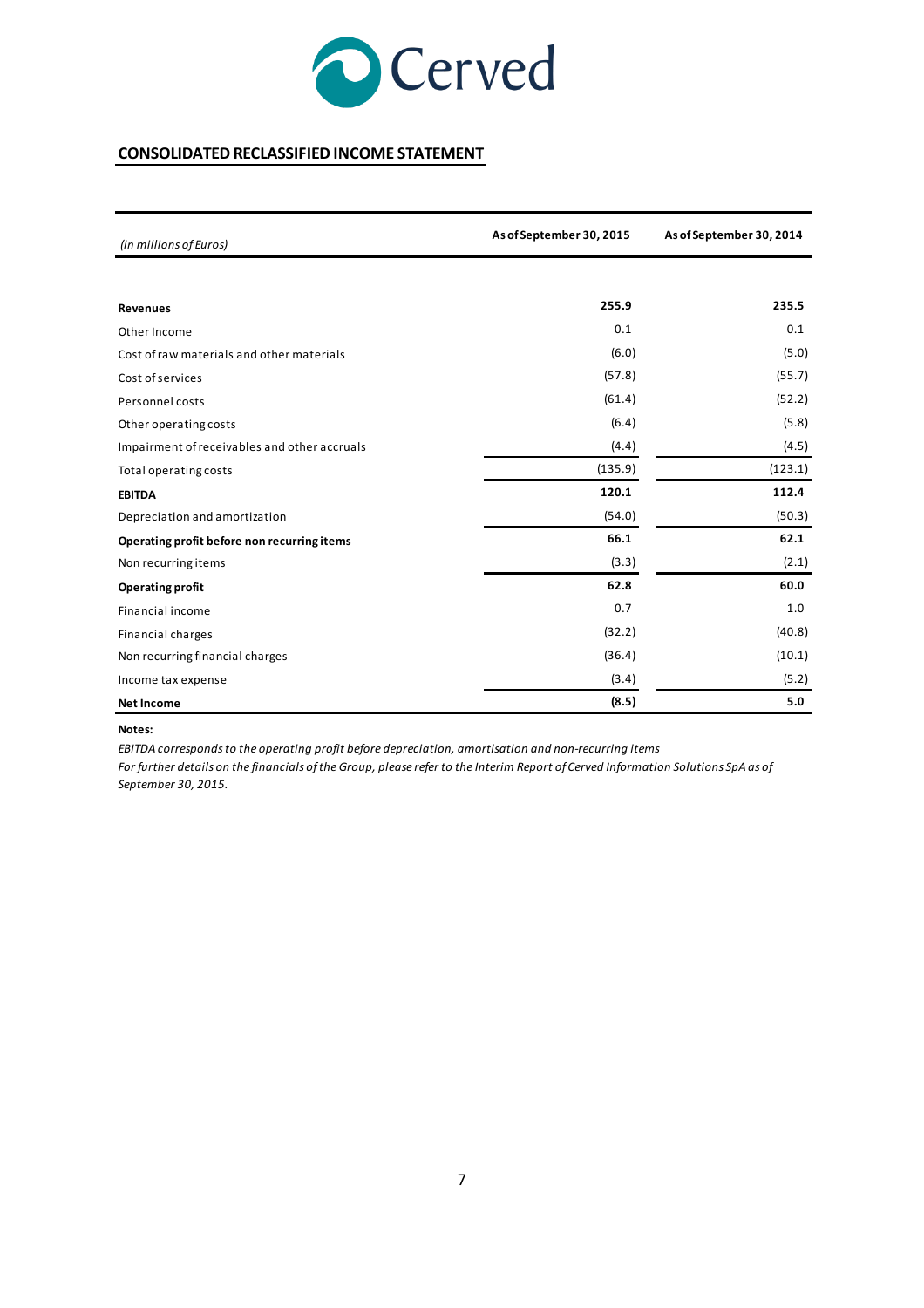

## **CONSOLIDATED RECLASSIFIED INCOME STATEMENT**

| (in millions of Euros)                       | As of September 30, 2015 | As of September 30, 2014 |  |
|----------------------------------------------|--------------------------|--------------------------|--|
|                                              |                          |                          |  |
| <b>Revenues</b>                              | 255.9                    | 235.5                    |  |
| Other Income                                 | 0.1                      | 0.1                      |  |
| Cost of raw materials and other materials    | (6.0)                    | (5.0)                    |  |
| Cost of services                             | (57.8)                   | (55.7)                   |  |
| Personnel costs                              | (61.4)                   | (52.2)                   |  |
| Other operating costs                        | (6.4)                    | (5.8)                    |  |
| Impairment of receivables and other accruals | (4.4)                    | (4.5)                    |  |
| Total operating costs                        | (135.9)                  | (123.1)                  |  |
| <b>EBITDA</b>                                | 120.1                    | 112.4                    |  |
| Depreciation and amortization                | (54.0)                   | (50.3)                   |  |
| Operating profit before non recurring items  | 66.1                     | 62.1                     |  |
| Non recurring items                          | (3.3)                    | (2.1)                    |  |
| <b>Operating profit</b>                      | 62.8                     | 60.0                     |  |
| <b>Financial income</b>                      | 0.7                      | 1.0                      |  |
| <b>Financial charges</b>                     | (32.2)                   | (40.8)                   |  |
| Non recurring financial charges              | (36.4)                   | (10.1)                   |  |
| Income tax expense                           | (3.4)                    | (5.2)                    |  |
| <b>Net Income</b>                            | (8.5)                    | 5.0                      |  |

#### **Notes:**

*EBITDA corresponds to the operating profit before depreciation, amortisation and non-recurring items*

*For further details on the financials of the Group, please refer to the Interim Report of Cerved Information Solutions SpA as of September 30, 2015.*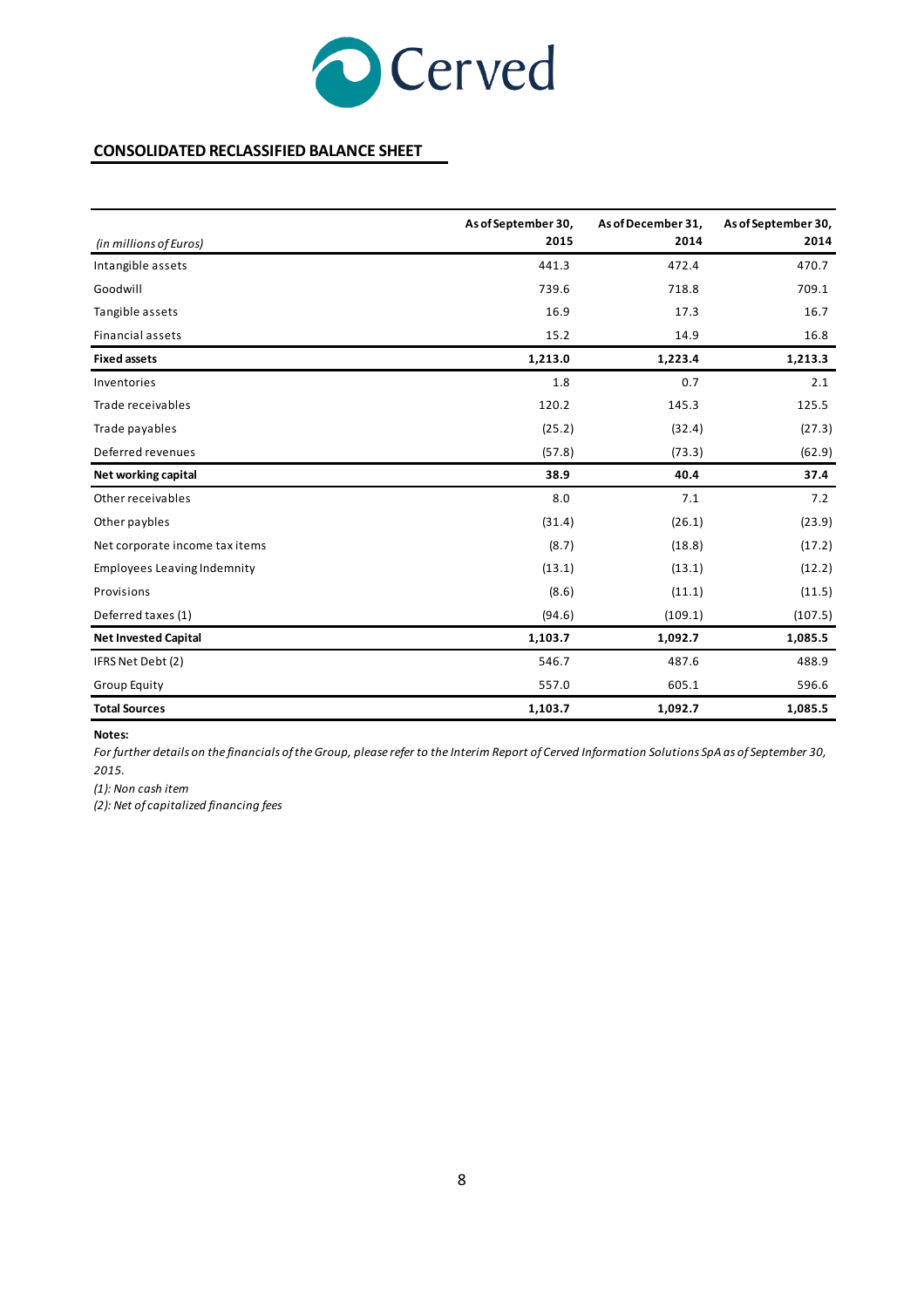

## **CONSOLIDATED RECLASSIFIED BALANCE SHEET**

|                                    | As of September 30, | As of December 31, | As of September 30, |
|------------------------------------|---------------------|--------------------|---------------------|
| (in millions of Euros)             | 2015                | 2014               | 2014                |
| Intangible assets                  | 441.3               | 472.4              | 470.7               |
| Goodwill                           | 739.6               | 718.8              | 709.1               |
| Tangible assets                    | 16.9                | 17.3               | 16.7                |
| <b>Financial assets</b>            | 15.2                | 14.9               | 16.8                |
| <b>Fixed assets</b>                | 1,213.0             | 1,223.4            | 1,213.3             |
| Inventories                        | 1.8                 | 0.7                | 2.1                 |
| Trade receivables                  | 120.2               | 145.3              | 125.5               |
| Trade payables                     | (25.2)              | (32.4)             | (27.3)              |
| Deferred revenues                  | (57.8)              | (73.3)             | (62.9)              |
| Net working capital                | 38.9                | 40.4               | 37.4                |
| Other receivables                  | 8.0                 | 7.1                | 7.2                 |
| Other paybles                      | (31.4)              | (26.1)             | (23.9)              |
| Net corporate income tax items     | (8.7)               | (18.8)             | (17.2)              |
| <b>Employees Leaving Indemnity</b> | (13.1)              | (13.1)             | (12.2)              |
| Provisions                         | (8.6)               | (11.1)             | (11.5)              |
| Deferred taxes (1)                 | (94.6)              | (109.1)            | (107.5)             |
| <b>Net Invested Capital</b>        | 1,103.7             | 1,092.7            | 1,085.5             |
| IFRS Net Debt (2)                  | 546.7               | 487.6              | 488.9               |
| <b>Group Equity</b>                | 557.0               | 605.1              | 596.6               |
| <b>Total Sources</b>               | 1,103.7             | 1,092.7            | 1,085.5             |

#### **Notes:**

*For further details on the financials of the Group, please refer to the Interim Report of Cerved Information Solutions SpA as of September 30, 2015.*

*(1): Non cash item*

*(2): Net of capitalized financing fees*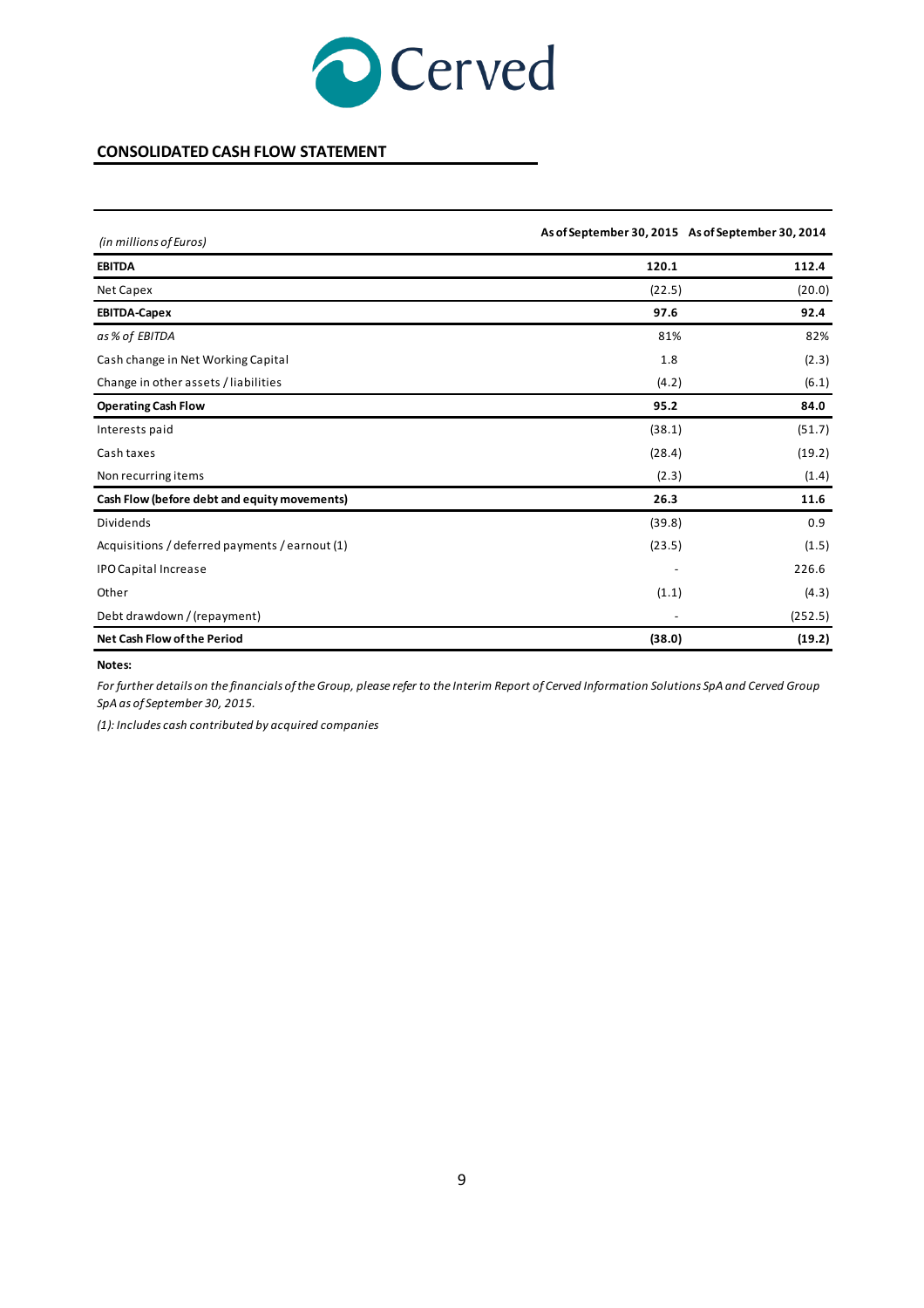

## **CONSOLIDATED CASH FLOW STATEMENT**

| (in millions of Euros)                         |                          | As of September 30, 2015 As of September 30, 2014 |
|------------------------------------------------|--------------------------|---------------------------------------------------|
| <b>EBITDA</b>                                  | 120.1                    | 112.4                                             |
| Net Capex                                      | (22.5)                   | (20.0)                                            |
| <b>EBITDA-Capex</b>                            | 97.6                     | 92.4                                              |
| as % of EBITDA                                 | 81%                      | 82%                                               |
| Cash change in Net Working Capital             | 1.8                      | (2.3)                                             |
| Change in other assets / liabilities           | (4.2)                    | (6.1)                                             |
| <b>Operating Cash Flow</b>                     | 95.2                     | 84.0                                              |
| Interests paid                                 | (38.1)                   | (51.7)                                            |
| Cash taxes                                     | (28.4)                   | (19.2)                                            |
| Non recurring items                            | (2.3)                    | (1.4)                                             |
| Cash Flow (before debt and equity movements)   | 26.3                     | 11.6                                              |
| Dividends                                      | (39.8)                   | 0.9                                               |
| Acquisitions / deferred payments / earnout (1) | (23.5)                   | (1.5)                                             |
| <b>IPO Capital Increase</b>                    | $\overline{\phantom{a}}$ | 226.6                                             |
| Other                                          | (1.1)                    | (4.3)                                             |
| Debt drawdown / (repayment)                    |                          | (252.5)                                           |
| Net Cash Flow of the Period                    | (38.0)                   | (19.2)                                            |

#### **Notes:**

*For further details on the financials of the Group, please refer to the Interim Report of Cerved Information Solutions SpA and Cerved Group SpA as of September 30, 2015.*

*(1): Includes cash contributed by acquired companies*